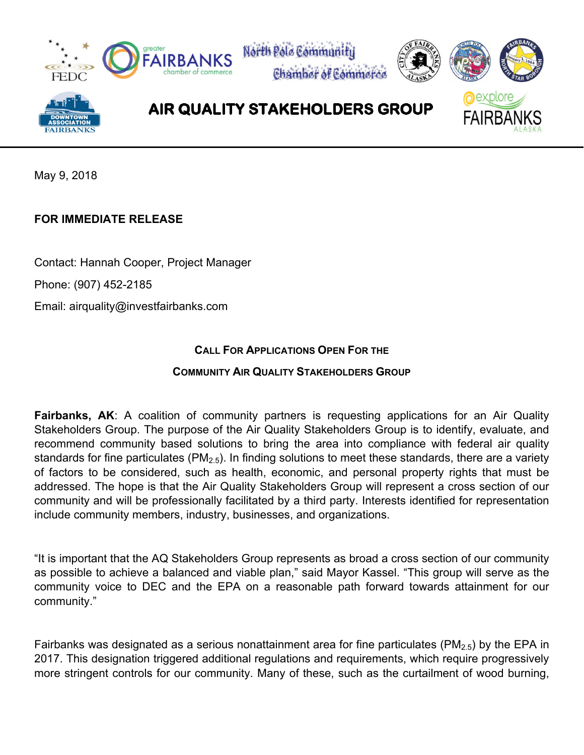

May 9, 2018

## **FOR IMMEDIATE RELEASE**

Contact: Hannah Cooper, Project Manager

Phone: (907) 452-2185

Email: airquality@investfairbanks.com

## **CALL FOR APPLICATIONS OPEN FOR THE**

## **COMMUNITY AIR QUALITY STAKEHOLDERS GROUP**

**Fairbanks, AK:** A coalition of community partners is requesting applications for an Air Quality Stakeholders Group. The purpose of the Air Quality Stakeholders Group is to identify, evaluate, and recommend community based solutions to bring the area into compliance with federal air quality standards for fine particulates (PM<sub>2.5</sub>). In finding solutions to meet these standards, there are a variety of factors to be considered, such as health, economic, and personal property rights that must be addressed. The hope is that the Air Quality Stakeholders Group will represent a cross section of our community and will be professionally facilitated by a third party. Interests identified for representation include community members, industry, businesses, and organizations.

"It is important that the AQ Stakeholders Group represents as broad a cross section of our community as possible to achieve a balanced and viable plan," said Mayor Kassel. "This group will serve as the community voice to DEC and the EPA on a reasonable path forward towards attainment for our community."

Fairbanks was designated as a serious nonattainment area for fine particulates ( $PM<sub>2.5</sub>$ ) by the EPA in 2017. This designation triggered additional regulations and requirements, which require progressively more stringent controls for our community. Many of these, such as the curtailment of wood burning,